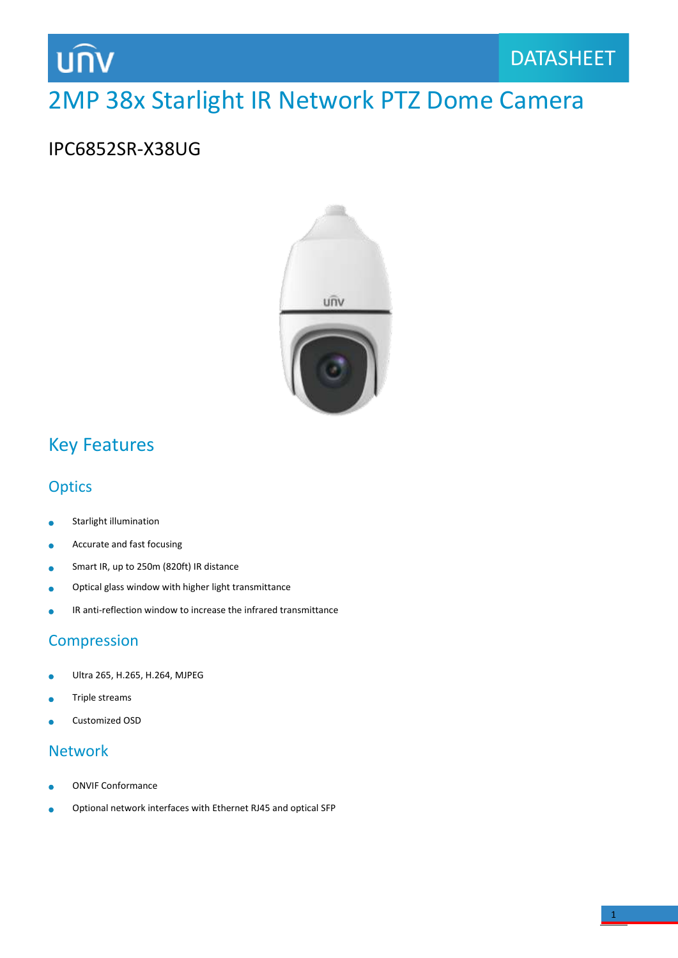## unv

### 2MP 38x Starlight IR Network PTZ Dome Camera

### IPC6852SR-X38UG



### Key Features

### **Optics**

- Starlight illumination ö
- Accurate and fast focusing ä
- Smart IR, up to 250m (820ft) IR distance  $\bullet$
- Optical glass window with higher light transmittance ö
- IR anti-reflection window to increase the infrared transmittance  $\bullet$

### Compression

- Ultra 265, H.265, H.264, MJPEG ò
- Triple streams
- Customized OSD

#### Network

- ONVIF Conformance
- Optional network interfaces with Ethernet RJ45 and optical SFP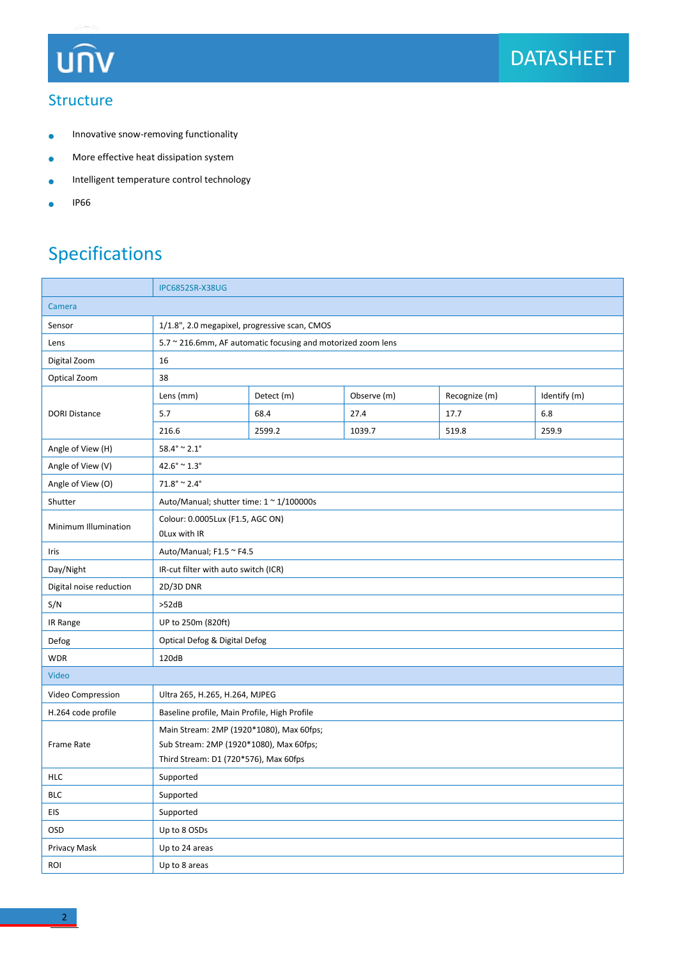## **UNV**

#### **Structure**

- Innovative snow-removing functionality  $\bullet$
- More effective heat dissipation system  $\bullet$
- Intelligent temperature control technology  $\bullet$
- IP66  $\bullet$

### Specifications

|                         | <b>IPC6852SR-X38UG</b>                                                                                                       |            |             |               |              |  |
|-------------------------|------------------------------------------------------------------------------------------------------------------------------|------------|-------------|---------------|--------------|--|
| Camera                  |                                                                                                                              |            |             |               |              |  |
| Sensor                  | 1/1.8", 2.0 megapixel, progressive scan, CMOS                                                                                |            |             |               |              |  |
| Lens                    | 5.7 ~ 216.6mm, AF automatic focusing and motorized zoom lens                                                                 |            |             |               |              |  |
| Digital Zoom            | 16                                                                                                                           |            |             |               |              |  |
| Optical Zoom            | 38                                                                                                                           |            |             |               |              |  |
| <b>DORI Distance</b>    | Lens (mm)                                                                                                                    | Detect (m) | Observe (m) | Recognize (m) | Identify (m) |  |
|                         | 5.7                                                                                                                          | 68.4       | 27.4        | 17.7          | 6.8          |  |
|                         | 216.6                                                                                                                        | 2599.2     | 1039.7      | 519.8         | 259.9        |  |
| Angle of View (H)       | $58.4^{\circ} \approx 2.1^{\circ}$                                                                                           |            |             |               |              |  |
| Angle of View (V)       | $42.6^{\circ} \approx 1.3^{\circ}$                                                                                           |            |             |               |              |  |
| Angle of View (O)       | $71.8^{\circ} \approx 2.4^{\circ}$                                                                                           |            |             |               |              |  |
| Shutter                 | Auto/Manual; shutter time: $1 \approx 1/100000$ s                                                                            |            |             |               |              |  |
| Minimum Illumination    | Colour: 0.0005Lux (F1.5, AGC ON)<br>OLux with IR                                                                             |            |             |               |              |  |
| Iris                    | Auto/Manual; F1.5 ~ F4.5                                                                                                     |            |             |               |              |  |
| Day/Night               | IR-cut filter with auto switch (ICR)                                                                                         |            |             |               |              |  |
| Digital noise reduction | 2D/3D DNR                                                                                                                    |            |             |               |              |  |
| S/N                     | >52dB                                                                                                                        |            |             |               |              |  |
| IR Range                | UP to 250m (820ft)                                                                                                           |            |             |               |              |  |
| Defog                   | Optical Defog & Digital Defog                                                                                                |            |             |               |              |  |
| <b>WDR</b>              | 120dB                                                                                                                        |            |             |               |              |  |
| Video                   |                                                                                                                              |            |             |               |              |  |
| Video Compression       | Ultra 265, H.265, H.264, MJPEG                                                                                               |            |             |               |              |  |
| H.264 code profile      | Baseline profile, Main Profile, High Profile                                                                                 |            |             |               |              |  |
| Frame Rate              | Main Stream: 2MP (1920*1080), Max 60fps;<br>Sub Stream: 2MP (1920*1080), Max 60fps;<br>Third Stream: D1 (720*576), Max 60fps |            |             |               |              |  |
| <b>HLC</b>              | Supported                                                                                                                    |            |             |               |              |  |
| <b>BLC</b>              | Supported                                                                                                                    |            |             |               |              |  |
| <b>EIS</b>              | Supported                                                                                                                    |            |             |               |              |  |
| OSD                     | Up to 8 OSDs                                                                                                                 |            |             |               |              |  |
| Privacy Mask            | Up to 24 areas                                                                                                               |            |             |               |              |  |
| ROI                     | Up to 8 areas                                                                                                                |            |             |               |              |  |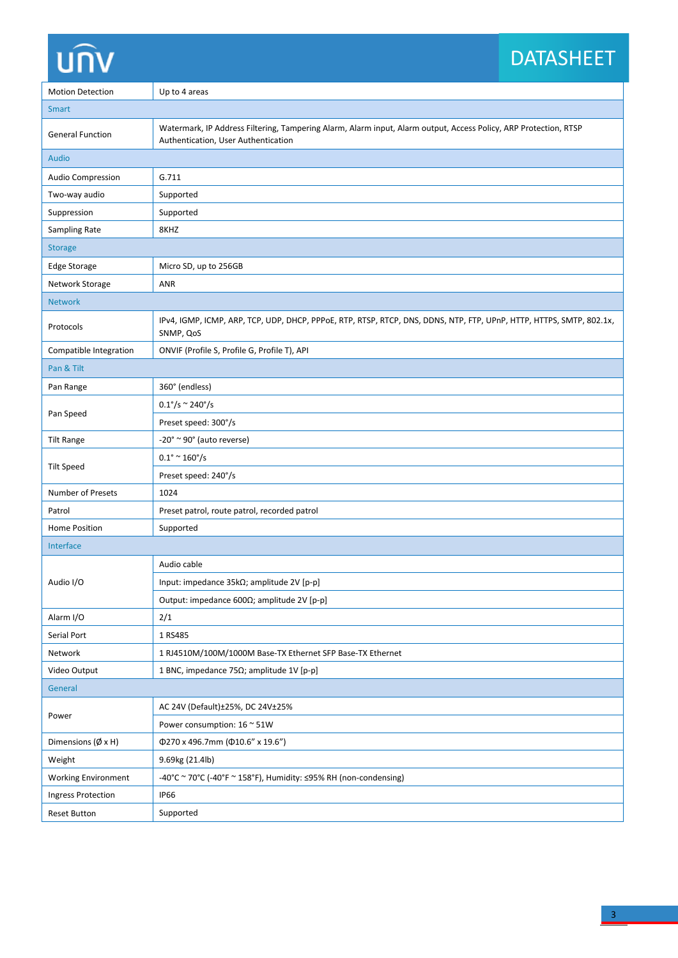# unv

### DATASHEET DATASHEET

| <b>Motion Detection</b>      | Up to 4 areas                                                                                                                                           |  |  |
|------------------------------|---------------------------------------------------------------------------------------------------------------------------------------------------------|--|--|
| <b>Smart</b>                 |                                                                                                                                                         |  |  |
| <b>General Function</b>      | Watermark, IP Address Filtering, Tampering Alarm, Alarm input, Alarm output, Access Policy, ARP Protection, RTSP<br>Authentication, User Authentication |  |  |
| Audio                        |                                                                                                                                                         |  |  |
| Audio Compression            | G.711                                                                                                                                                   |  |  |
| Two-way audio                | Supported                                                                                                                                               |  |  |
| Suppression                  | Supported                                                                                                                                               |  |  |
| Sampling Rate                | 8KHZ                                                                                                                                                    |  |  |
| <b>Storage</b>               |                                                                                                                                                         |  |  |
| Edge Storage                 | Micro SD, up to 256GB                                                                                                                                   |  |  |
| Network Storage              | ANR                                                                                                                                                     |  |  |
| <b>Network</b>               |                                                                                                                                                         |  |  |
| Protocols                    | IPv4, IGMP, ICMP, ARP, TCP, UDP, DHCP, PPPoE, RTP, RTSP, RTCP, DNS, DDNS, NTP, FTP, UPnP, HTTP, HTTPS, SMTP, 802.1x,<br>SNMP, QoS                       |  |  |
| Compatible Integration       | ONVIF (Profile S, Profile G, Profile T), API                                                                                                            |  |  |
| Pan & Tilt                   |                                                                                                                                                         |  |  |
| Pan Range                    | 360° (endless)                                                                                                                                          |  |  |
| Pan Speed                    | $0.1^{\circ}/s \sim 240^{\circ}/s$                                                                                                                      |  |  |
|                              | Preset speed: 300°/s                                                                                                                                    |  |  |
| <b>Tilt Range</b>            | $-20^\circ \sim 90^\circ$ (auto reverse)                                                                                                                |  |  |
| <b>Tilt Speed</b>            | $0.1^{\circ} \sim 160^{\circ}/s$                                                                                                                        |  |  |
|                              | Preset speed: 240°/s                                                                                                                                    |  |  |
| <b>Number of Presets</b>     | 1024                                                                                                                                                    |  |  |
| Patrol                       | Preset patrol, route patrol, recorded patrol                                                                                                            |  |  |
| Home Position                | Supported                                                                                                                                               |  |  |
| Interface                    |                                                                                                                                                         |  |  |
| Audio I/O                    | Audio cable                                                                                                                                             |  |  |
|                              | Input: impedance 35kΩ; amplitude 2V [p-p]                                                                                                               |  |  |
|                              | Output: impedance 600Ω; amplitude 2V [p-p]                                                                                                              |  |  |
| Alarm I/O                    | 2/1                                                                                                                                                     |  |  |
| Serial Port                  | 1 RS485                                                                                                                                                 |  |  |
| Network                      | 1 RJ4510M/100M/1000M Base-TX Ethernet SFP Base-TX Ethernet                                                                                              |  |  |
| Video Output                 | 1 BNC, impedance 75Ω; amplitude 1V [p-p]                                                                                                                |  |  |
| General                      |                                                                                                                                                         |  |  |
| Power                        | AC 24V (Default)±25%, DC 24V±25%                                                                                                                        |  |  |
|                              | Power consumption: 16 ~ 51W                                                                                                                             |  |  |
| Dimensions $(\emptyset x H)$ | Φ270 x 496.7mm (Φ10.6" x 19.6")                                                                                                                         |  |  |
| Weight                       | 9.69kg (21.4lb)                                                                                                                                         |  |  |
| <b>Working Environment</b>   | -40°C ~ 70°C (-40°F ~ 158°F), Humidity: ≤95% RH (non-condensing)                                                                                        |  |  |
| <b>Ingress Protection</b>    | <b>IP66</b>                                                                                                                                             |  |  |
| <b>Reset Button</b>          | Supported                                                                                                                                               |  |  |